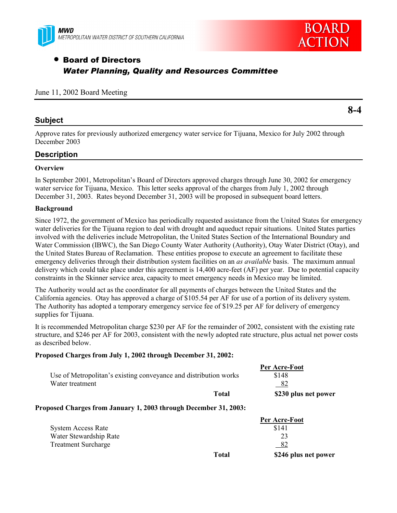



# • Board of Directors *Water Planning, Quality and Resources Committee*

#### June 11, 2002 Board Meeting

### **Subject**

**8-4**

Approve rates for previously authorized emergency water service for Tijuana, Mexico for July 2002 through December 2003

### **Description**

#### **Overview**

In September 2001, Metropolitan's Board of Directors approved charges through June 30, 2002 for emergency water service for Tijuana, Mexico. This letter seeks approval of the charges from July 1, 2002 through December 31, 2003. Rates beyond December 31, 2003 will be proposed in subsequent board letters.

#### **Background**

Since 1972, the government of Mexico has periodically requested assistance from the United States for emergency water deliveries for the Tijuana region to deal with drought and aqueduct repair situations. United States parties involved with the deliveries include Metropolitan, the United States Section of the International Boundary and Water Commission (IBWC), the San Diego County Water Authority (Authority), Otay Water District (Otay), and the United States Bureau of Reclamation. These entities propose to execute an agreement to facilitate these emergency deliveries through their distribution system facilities on an *as available* basis. The maximum annual delivery which could take place under this agreement is 14,400 acre-feet (AF) per year. Due to potential capacity constraints in the Skinner service area, capacity to meet emergency needs in Mexico may be limited.

The Authority would act as the coordinator for all payments of charges between the United States and the California agencies. Otay has approved a charge of \$105.54 per AF for use of a portion of its delivery system. The Authority has adopted a temporary emergency service fee of \$19.25 per AF for delivery of emergency supplies for Tijuana.

It is recommended Metropolitan charge \$230 per AF for the remainder of 2002, consistent with the existing rate structure, and \$246 per AF for 2003, consistent with the newly adopted rate structure, plus actual net power costs as described below.

#### **Proposed Charges from July 1, 2002 through December 31, 2002:**

|                                                                  | Per Acre-Foot        |
|------------------------------------------------------------------|----------------------|
| Use of Metropolitan's existing conveyance and distribution works | \$148                |
| Water treatment                                                  | 82                   |
| Total                                                            | \$230 plus net power |

#### **Proposed Charges from January 1, 2003 through December 31, 2003:**

|                            |              | Per Acre-Foot        |
|----------------------------|--------------|----------------------|
| <b>System Access Rate</b>  |              | \$141                |
| Water Stewardship Rate     |              | 23                   |
| <b>Treatment Surcharge</b> |              | 82                   |
|                            | <b>Total</b> | \$246 plus net power |